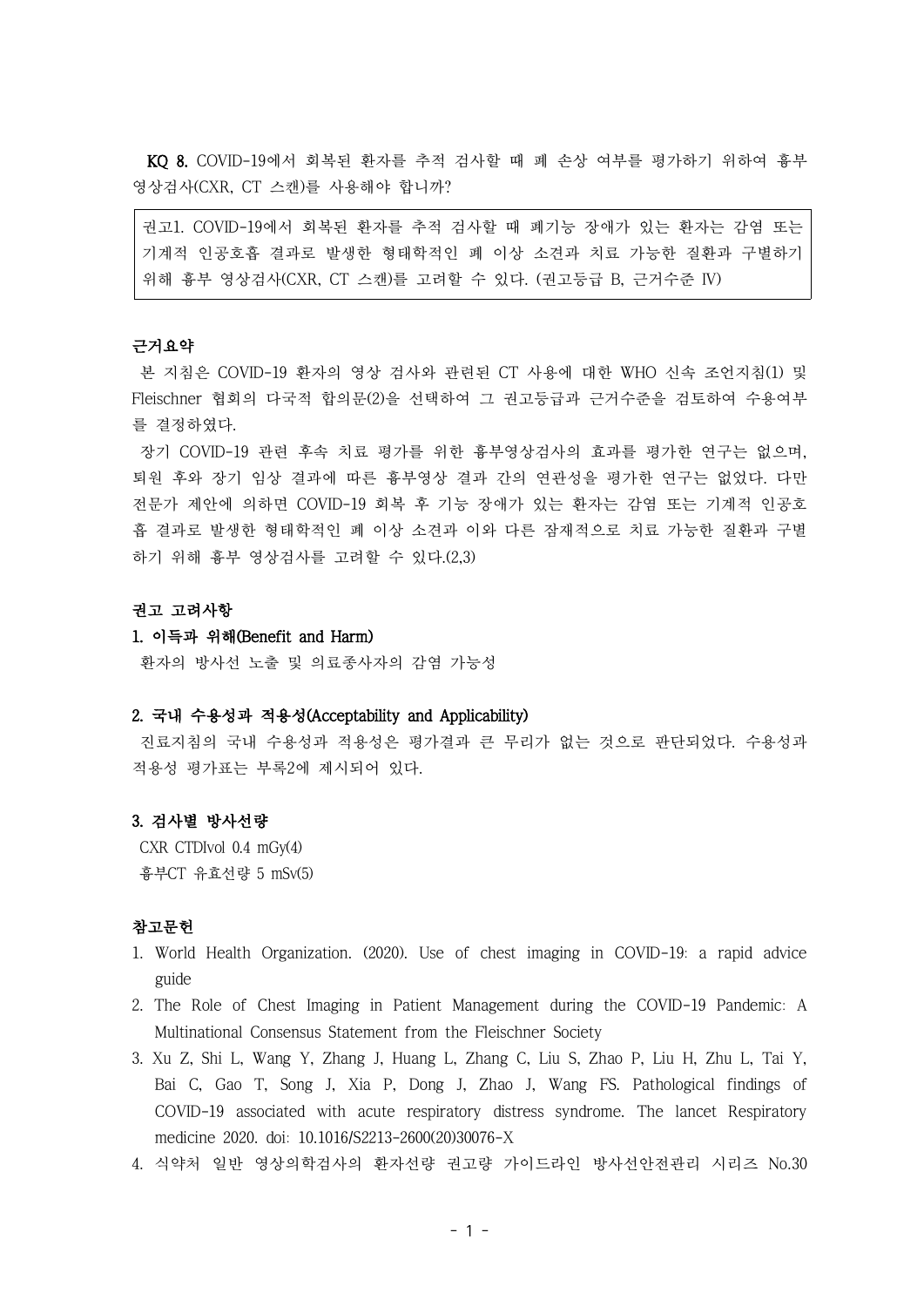KQ 8. COVID-19에서 회복된 환자를 추적 검사할 때 폐 손상 여부를 평가하기 위하여 흉부 영상검사(CXR, CT 스캔)를 사용해야 합니까?

권고1. COVID-19에서 회복된 환자를 추적 검사할 때 폐기능 장애가 있는 환자는 감염 또는 기계적 인공호흡 결과로 발생한 형태학적인 폐 이상 소견과 치료 가능한 질환과 구별하기 위해 흉부 영상검사(CXR, CT 스캔)를 고려할 수 있다. (권고등급 B, 근거수준 IV)

#### 근거요약

본 지침은 COVID-19 환자의 영상 검사와 관련된 CT 사용에 대한 WHO 신속 조언지침(1) 및 Fleischner 협회의 다국적 합의문(2)을 선택하여 그 권고등급과 근거수준을 검토하여 수용여부 를 결정하였다.

장기 COVID-19 관련 후속 치료 평가를 위한 흉부영상검사의 효과를 평가한 연구는 없으며, 퇴원 후와 장기 임상 결과에 따른 흉부영상 결과 간의 연관성을 평가한 연구는 없었다. 다만 전문가 제안에 의하면 COVID-19 회복 후 기능 장애가 있는 환자는 감염 또는 기계적 인공호 흡 결과로 발생한 형태학적인 폐 이상 소견과 이와 다른 잠재적으로 치료 가능한 질환과 구별 하기 위해 흉부 영상검사를 고려할 수 있다.(2,3)

## 권고 고려사항

## 1. 이득과 위해(Benefit and Harm)

환자의 방사선 노출 및 의료종사자의 감염 가능성

## 2. 국내 수용성과 적용성(Acceptability and Applicability)

진료지침의 국내 수용성과 적용성은 평가결과 큰 무리가 없는 것으로 판단되었다. 수용성과 적용성 평가표는 부록2에 제시되어 있다.

#### 3. 검사별 방사선량

CXR CTDIvol 0.4 mGy(4) 흉부CT 유효선량 5 mSv(5)

## 참고문헌

- 1. World Health Organization. (2020). Use of chest imaging in COVID-19: a rapid advice guide
- 2. The Role of Chest Imaging in Patient Management during the COVID-19 Pandemic: A Multinational Consensus Statement from the Fleischner Society
- 3. Xu Z, Shi L, Wang Y, Zhang J, Huang L, Zhang C, Liu S, Zhao P, Liu H, Zhu L, Tai Y, Bai C, Gao T, Song J, Xia P, Dong J, Zhao J, Wang FS. Pathological findings of COVID-19 associated with acute respiratory distress syndrome. The lancet Respiratory medicine 2020. doi: 10.1016/S2213-2600(20)30076-X
- 4. 식약처 일반 영상의학검사의 환자선량 권고량 가이드라인 방사선안전관리 시리즈 No.30